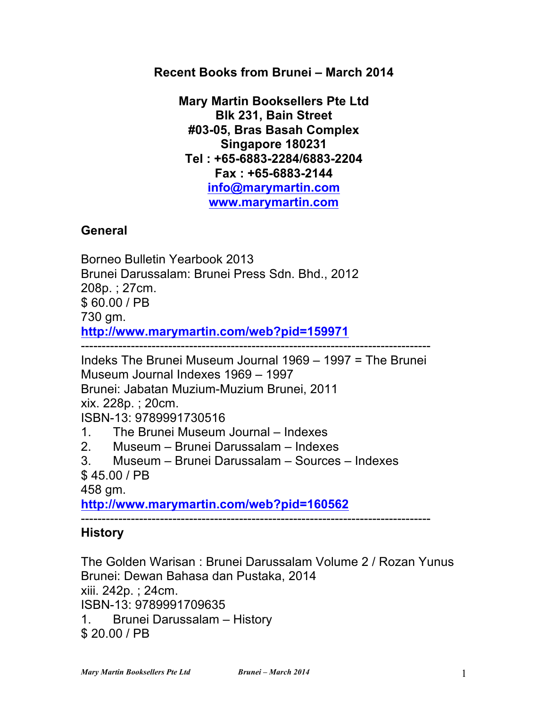**Recent Books from Brunei – March 2014**

**Mary Martin Booksellers Pte Ltd Blk 231, Bain Street #03-05, Bras Basah Complex Singapore 180231 Tel : +65-6883-2284/6883-2204 Fax : +65-6883-2144 info@marymartin.com www.marymartin.com**

# **General**

Borneo Bulletin Yearbook 2013 Brunei Darussalam: Brunei Press Sdn. Bhd., 2012 208p. ; 27cm. \$ 60.00 / PB 730 gm. **http://www.marymartin.com/web?pid=159971** ------------------------------------------------------------------------------------ Indeks The Brunei Museum Journal 1969 – 1997 = The Brunei Museum Journal Indexes 1969 – 1997

Brunei: Jabatan Muzium-Muzium Brunei, 2011

xix. 228p. ; 20cm.

## ISBN-13: 9789991730516

1. The Brunei Museum Journal – Indexes

- 2. Museum Brunei Darussalam Indexes
- 3. Museum Brunei Darussalam Sources Indexes
- \$ 45.00 / PB

458 gm.

**http://www.marymartin.com/web?pid=160562**

------------------------------------------------------------------------------------

# **History**

The Golden Warisan : Brunei Darussalam Volume 2 / Rozan Yunus Brunei: Dewan Bahasa dan Pustaka, 2014 xiii. 242p. ; 24cm. ISBN-13: 9789991709635 1. Brunei Darussalam – History \$ 20.00 / PB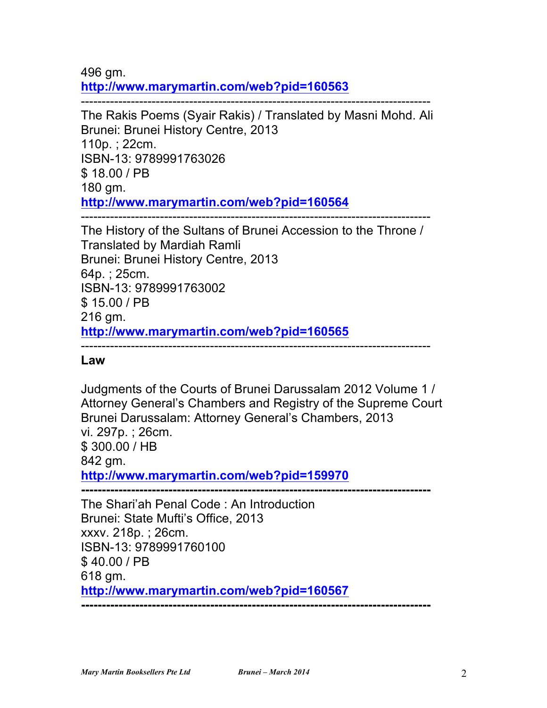496 gm. **http://www.marymartin.com/web?pid=160563**

------------------------------------------------------------------------------------ The Rakis Poems (Syair Rakis) / Translated by Masni Mohd. Ali Brunei: Brunei History Centre, 2013 110p. ; 22cm. ISBN-13: 9789991763026 \$ 18.00 / PB 180 gm. **http://www.marymartin.com/web?pid=160564** ------------------------------------------------------------------------------------

The History of the Sultans of Brunei Accession to the Throne / Translated by Mardiah Ramli Brunei: Brunei History Centre, 2013 64p. ; 25cm. ISBN-13: 9789991763002 \$ 15.00 / PB 216 gm. **http://www.marymartin.com/web?pid=160565**

------------------------------------------------------------------------------------

#### **Law**

Judgments of the Courts of Brunei Darussalam 2012 Volume 1 / Attorney General's Chambers and Registry of the Supreme Court Brunei Darussalam: Attorney General's Chambers, 2013 vi. 297p. ; 26cm. \$ 300.00 / HB 842 gm. **http://www.marymartin.com/web?pid=159970 ------------------------------------------------------------------------------------**

The Shari'ah Penal Code : An Introduction Brunei: State Mufti's Office, 2013 xxxv. 218p. ; 26cm. ISBN-13: 9789991760100 \$ 40.00 / PB 618 gm. **http://www.marymartin.com/web?pid=160567 ------------------------------------------------------------------------------------**